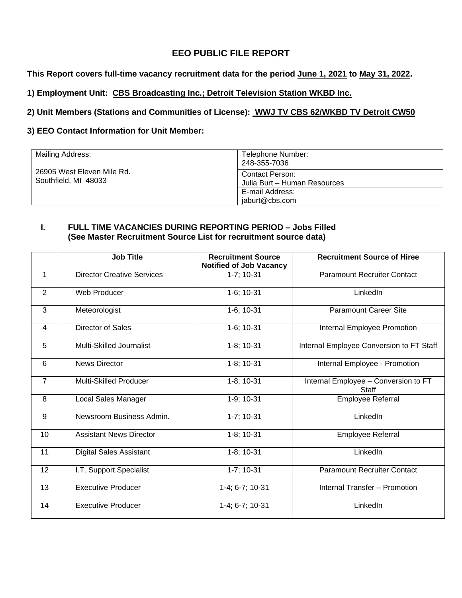### **EEO PUBLIC FILE REPORT**

**This Report covers full-time vacancy recruitment data for the period June 1, 2021 to May 31, 2022.**

**1) Employment Unit: CBS Broadcasting Inc.; Detroit Television Station WKBD Inc.**

**2) Unit Members (Stations and Communities of License): WWJ TV CBS 62/WKBD TV Detroit CW50**

**3) EEO Contact Information for Unit Member:** 

| Mailing Address:<br>26905 West Eleven Mile Rd.<br>Southfield, MI 48033 | Telephone Number:<br>248-355-7036                      |  |
|------------------------------------------------------------------------|--------------------------------------------------------|--|
|                                                                        | <b>Contact Person:</b><br>Julia Burt - Human Resources |  |
|                                                                        | E-mail Address:                                        |  |
|                                                                        | jaburt@cbs.com                                         |  |

#### **I. FULL TIME VACANCIES DURING REPORTING PERIOD – Jobs Filled (See Master Recruitment Source List for recruitment source data)**

|                | <b>Job Title</b>                  | <b>Recruitment Source</b><br><b>Notified of Job Vacancy</b> | <b>Recruitment Source of Hiree</b>            |
|----------------|-----------------------------------|-------------------------------------------------------------|-----------------------------------------------|
| 1              | <b>Director Creative Services</b> | $1-7; 10-31$                                                | <b>Paramount Recruiter Contact</b>            |
| 2              | Web Producer                      | 1-6; 10-31                                                  | LinkedIn                                      |
| 3              | Meteorologist                     | 1-6; 10-31                                                  | <b>Paramount Career Site</b>                  |
| 4              | <b>Director of Sales</b>          | 1-6; 10-31                                                  | Internal Employee Promotion                   |
| 5              | Multi-Skilled Journalist          | $1-8; 10-31$                                                | Internal Employee Conversion to FT Staff      |
| 6              | <b>News Director</b>              | 1-8; 10-31                                                  | Internal Employee - Promotion                 |
| $\overline{7}$ | <b>Multi-Skilled Producer</b>     | 1-8; 10-31                                                  | Internal Employee - Conversion to FT<br>Staff |
| 8              | Local Sales Manager               | 1-9; 10-31                                                  | Employee Referral                             |
| 9              | Newsroom Business Admin.          | 1-7; 10-31                                                  | LinkedIn                                      |
| 10             | <b>Assistant News Director</b>    | 1-8; 10-31                                                  | Employee Referral                             |
| 11             | <b>Digital Sales Assistant</b>    | $1-8; 10-31$                                                | LinkedIn                                      |
| 12             | I.T. Support Specialist           | $1-7; 10-31$                                                | <b>Paramount Recruiter Contact</b>            |
| 13             | <b>Executive Producer</b>         | 1-4; 6-7; 10-31                                             | <b>Internal Transfer - Promotion</b>          |
| 14             | <b>Executive Producer</b>         | 1-4; 6-7; 10-31                                             | LinkedIn                                      |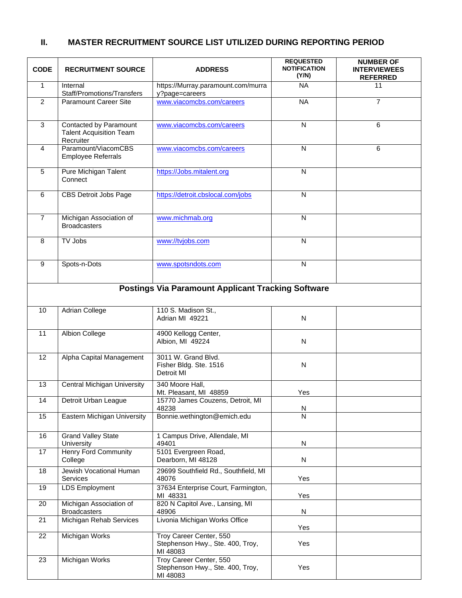### **II. MASTER RECRUITMENT SOURCE LIST UTILIZED DURING REPORTING PERIOD**

| <b>CODE</b>                                               | <b>RECRUITMENT SOURCE</b>                                                                   | <b>ADDRESS</b>                                                          | <b>REQUESTED</b><br><b>NOTIFICATION</b><br>(Y/N) | <b>NUMBER OF</b><br><b>INTERVIEWEES</b><br><b>REFERRED</b> |
|-----------------------------------------------------------|---------------------------------------------------------------------------------------------|-------------------------------------------------------------------------|--------------------------------------------------|------------------------------------------------------------|
| $\mathbf{1}$                                              | Internal<br>Staff/Promotions/Transfers                                                      | https://Murray.paramount.com/murra<br>y?page=careers                    | <b>NA</b>                                        | 11                                                         |
| $\overline{2}$                                            | <b>Paramount Career Site</b>                                                                | www.viacomcbs.com/careers                                               | <b>NA</b>                                        | $\overline{7}$                                             |
| 3                                                         | Contacted by Paramount<br><b>Talent Acquisition Team</b><br>Recruiter                       | www.viacomcbs.com/careers                                               | $\mathsf{N}$                                     | 6                                                          |
| 4                                                         | Paramount/ViacomCBS<br><b>Employee Referrals</b>                                            | www.viacomcbs.com/careers                                               | N                                                | 6                                                          |
| 5                                                         | Pure Michigan Talent<br>Connect                                                             | https://Jobs.mitalent.org                                               | $\mathsf{N}$                                     |                                                            |
| 6                                                         | CBS Detroit Jobs Page                                                                       | https://detroit.cbslocal.com/jobs                                       | N                                                |                                                            |
| $\overline{7}$                                            | Michigan Association of<br><b>Broadcasters</b>                                              | www.michmab.org                                                         | $\mathsf{N}$                                     |                                                            |
| 8                                                         | <b>TV Jobs</b>                                                                              | www://tvjobs.com                                                        | $\mathsf{N}$                                     |                                                            |
| 9                                                         | Spots-n-Dots                                                                                | www.spotsndots.com                                                      | $\overline{\mathsf{N}}$                          |                                                            |
| <b>Postings Via Paramount Applicant Tracking Software</b> |                                                                                             |                                                                         |                                                  |                                                            |
| 10                                                        | <b>Adrian College</b>                                                                       | 110 S. Madison St.,<br>Adrian MI 49221                                  | $\mathsf{N}$                                     |                                                            |
| $\overline{11}$                                           | <b>Albion College</b>                                                                       | 4900 Kellogg Center,<br>Albion, MI 49224                                |                                                  |                                                            |
| 12                                                        | 3011 W. Grand Blvd.<br>Alpha Capital Management<br>Fisher Bldg. Ste. 1516<br>Detroit MI     |                                                                         | ${\sf N}$                                        |                                                            |
| 13                                                        | <b>Central Michigan University</b>                                                          | 340 Moore Hall,<br>Mt. Pleasant, MI 48859                               | Yes                                              |                                                            |
| 14                                                        | Detroit Urban League                                                                        | 15770 James Couzens, Detroit, MI<br>48238                               | N                                                |                                                            |
| 15                                                        | Bonnie.wethington@emich.edu<br>Eastern Michigan University                                  |                                                                         | $\overline{N}$                                   |                                                            |
| 16                                                        | <b>Grand Valley State</b><br>1 Campus Drive, Allendale, MI<br>University<br>49401           |                                                                         | ${\sf N}$                                        |                                                            |
| 17                                                        | 5101 Evergreen Road,<br><b>Henry Ford Community</b><br>College<br>Dearborn, MI 48128        |                                                                         | ${\sf N}$                                        |                                                            |
| 18                                                        | Jewish Vocational Human<br>29699 Southfield Rd., Southfield, MI<br>48076<br><b>Services</b> |                                                                         | Yes                                              |                                                            |
| 19                                                        | <b>LDS Employment</b>                                                                       | 37634 Enterprise Court, Farmington,<br>MI 48331                         | Yes                                              |                                                            |
| 20                                                        | Michigan Association of<br>820 N Capitol Ave., Lansing, MI<br><b>Broadcasters</b><br>48906  |                                                                         | ${\sf N}$                                        |                                                            |
| 21                                                        | Michigan Rehab Services                                                                     | Livonia Michigan Works Office                                           | Yes                                              |                                                            |
| 22                                                        | Michigan Works                                                                              | Troy Career Center, 550<br>Stephenson Hwy., Ste. 400, Troy,<br>MI 48083 | Yes                                              |                                                            |
| 23                                                        | Troy Career Center, 550<br>Michigan Works<br>Stephenson Hwy., Ste. 400, Troy,<br>MI 48083   |                                                                         | Yes                                              |                                                            |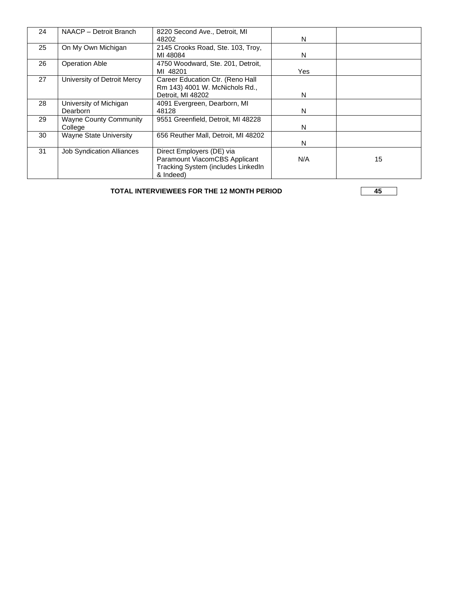| 24 | NAACP - Detroit Branch                   | 8220 Second Ave., Detroit, MI<br>48202                                                                        | N   |    |
|----|------------------------------------------|---------------------------------------------------------------------------------------------------------------|-----|----|
| 25 | On My Own Michigan                       | 2145 Crooks Road, Ste. 103, Troy,<br>MI 48084                                                                 | N   |    |
| 26 | <b>Operation Able</b>                    | 4750 Woodward, Ste. 201, Detroit,<br>MI 48201                                                                 | Yes |    |
| 27 | University of Detroit Mercy              | Career Education Ctr. (Reno Hall<br>Rm 143) 4001 W. McNichols Rd.,<br>Detroit, MI 48202                       | N   |    |
| 28 | University of Michigan<br>Dearborn       | 4091 Evergreen, Dearborn, MI<br>48128                                                                         | N   |    |
| 29 | <b>Wayne County Community</b><br>College | 9551 Greenfield, Detroit, MI 48228                                                                            | N   |    |
| 30 | <b>Wayne State University</b>            | 656 Reuther Mall, Detroit, MI 48202                                                                           | N   |    |
| 31 | <b>Job Syndication Alliances</b>         | Direct Employers (DE) via<br>Paramount ViacomCBS Applicant<br>Tracking System (includes LinkedIn<br>& Indeed) | N/A | 15 |

**TOTAL INTERVIEWEES FOR THE 12 MONTH PERIOD** 

**4 5**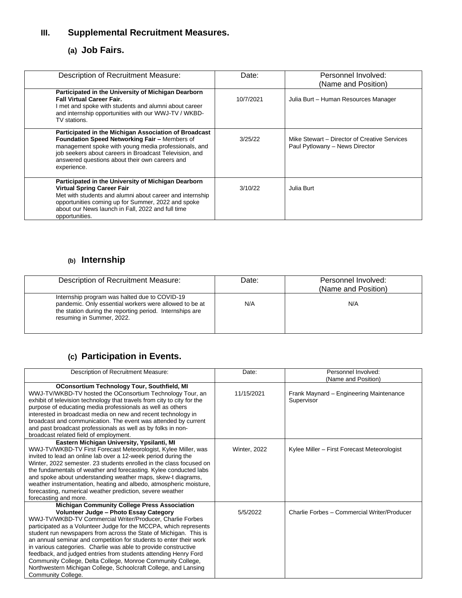# **III. Supplemental Recruitment Measures.**

## **(a) Job Fairs.**

| Description of Recruitment Measure:                                                                                                                                                                                                                                                       | Date:     | Personnel Involved:<br>(Name and Position)                                     |
|-------------------------------------------------------------------------------------------------------------------------------------------------------------------------------------------------------------------------------------------------------------------------------------------|-----------|--------------------------------------------------------------------------------|
| Participated in the University of Michigan Dearborn<br><b>Fall Virtual Career Fair.</b><br>I met and spoke with students and alumni about career<br>and internship opportunities with our WWJ-TV / WKBD-<br>TV stations.                                                                  | 10/7/2021 | Julia Burt - Human Resources Manager                                           |
| Participated in the Michigan Association of Broadcast<br>Foundation Speed Networking Fair - Members of<br>management spoke with young media professionals, and<br>job seekers about careers in Broadcast Television, and<br>answered questions about their own careers and<br>experience. | 3/25/22   | Mike Stewart – Director of Creative Services<br>Paul Pytlowany - News Director |
| Participated in the University of Michigan Dearborn<br><b>Virtual Spring Career Fair</b><br>Met with students and alumni about career and internship<br>opportunities coming up for Summer, 2022 and spoke<br>about our News launch in Fall, 2022 and full time<br>opportunities.         | 3/10/22   | Julia Burt                                                                     |

# **(b) Internship**

| Description of Recruitment Measure:                                                                                                                                                              | Date: | Personnel Involved:<br>(Name and Position) |
|--------------------------------------------------------------------------------------------------------------------------------------------------------------------------------------------------|-------|--------------------------------------------|
| Internship program was halted due to COVID-19<br>pandemic. Only essential workers were allowed to be at<br>the station during the reporting period. Internships are<br>resuming in Summer, 2022. | N/A   | N/A                                        |

# **(c) Participation in Events.**

| Description of Recruitment Measure:                                     | Date:               | Personnel Involved:<br>(Name and Position)  |
|-------------------------------------------------------------------------|---------------------|---------------------------------------------|
| <b>OConsortium Technology Tour, Southfield, MI</b>                      |                     |                                             |
| WWJ-TV/WKBD-TV hosted the OConsortium Technology Tour, an               | 11/15/2021          | Frank Maynard - Engineering Maintenance     |
| exhibit of television technology that travels from city to city for the |                     | Supervisor                                  |
| purpose of educating media professionals as well as others              |                     |                                             |
| interested in broadcast media on new and recent technology in           |                     |                                             |
| broadcast and communication. The event was attended by current          |                     |                                             |
| and past broadcast professionals as well as by folks in non-            |                     |                                             |
| broadcast related field of employment.                                  |                     |                                             |
| Eastern Michigan University, Ypsilanti, MI                              |                     |                                             |
| WWJ-TV/WKBD-TV First Forecast Meteorologist, Kylee Miller, was          | <b>Winter, 2022</b> | Kylee Miller - First Forecast Meteorologist |
| invited to lead an online lab over a 12-week period during the          |                     |                                             |
| Winter, 2022 semester. 23 students enrolled in the class focused on     |                     |                                             |
| the fundamentals of weather and forecasting. Kylee conducted labs       |                     |                                             |
| and spoke about understanding weather maps, skew-t diagrams,            |                     |                                             |
| weather instrumentation, heating and albedo, atmospheric moisture,      |                     |                                             |
| forecasting, numerical weather prediction, severe weather               |                     |                                             |
| forecasting and more.                                                   |                     |                                             |
| <b>Michigan Community College Press Association</b>                     |                     |                                             |
| Volunteer Judge - Photo Essay Category                                  | 5/5/2022            | Charlie Forbes - Commercial Writer/Producer |
| WWJ-TV/WKBD-TV Commercial Writer/Producer, Charlie Forbes               |                     |                                             |
| participated as a Volunteer Judge for the MCCPA, which represents       |                     |                                             |
| student run newspapers from across the State of Michigan. This is       |                     |                                             |
| an annual seminar and competition for students to enter their work      |                     |                                             |
| in various categories. Charlie was able to provide constructive         |                     |                                             |
| feedback, and judged entries from students attending Henry Ford         |                     |                                             |
| Community College, Delta College, Monroe Community College,             |                     |                                             |
| Northwestern Michigan College, Schoolcraft College, and Lansing         |                     |                                             |
| Community College.                                                      |                     |                                             |